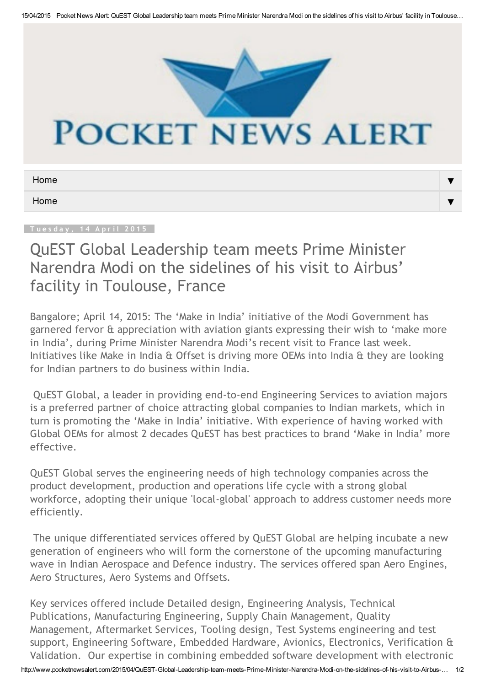

## **POCKET NEWS ALERT**

| Home |  |
|------|--|
| Home |  |

## QuEST Global Leadership team meets Prime Minister Narendra Modi on the sidelines of his visit to Airbus' facility in Toulouse, France

Bangalore; April 14, 2015: The 'Make in India' initiative of the Modi Government has garnered fervor & appreciation with aviation giants expressing their wish to 'make more in India', during Prime Minister Narendra Modi's recent visit to France last week. Initiatives like Make in India & Offset is driving more OEMs into India & they are looking for Indian partners to do business within India.

QuEST Global, a leader in providing end‐to‐end Engineering Services to aviation majors is a preferred partner of choice attracting global companies to Indian markets, which in turn is promoting the 'Make in India' initiative. With experience of having worked with Global OEMs for almost 2 decades QuEST has best practices to brand 'Make in India' more effective.

QuEST Global serves the engineering needs of high technology companies across the product development, production and operations life cycle with a strong global workforce, adopting their unique 'local‐global' approach to address customer needs more efficiently.

The unique differentiated services offered by QuEST Global are helping incubate a new generation of engineers who will form the cornerstone of the upcoming manufacturing wave in Indian Aerospace and Defence industry. The services offered span Aero Engines, Aero Structures, Aero Systems and Offsets.

http://www.pocketnewsalert.com/2015/04/QuEST-Global-Leadership-team-meets-Prime-Minister-Narendra-Modi-on-the-sidelines-of-his-visit-to-Airbus-... 1/2 Key services offered include Detailed design, Engineering Analysis, Technical Publications, Manufacturing Engineering, Supply Chain Management, Quality Management, Aftermarket Services, Tooling design, Test Systems engineering and test support, Engineering Software, Embedded Hardware, Avionics, Electronics, Verification & Validation. Our expertise in combining embedded software development with electronic